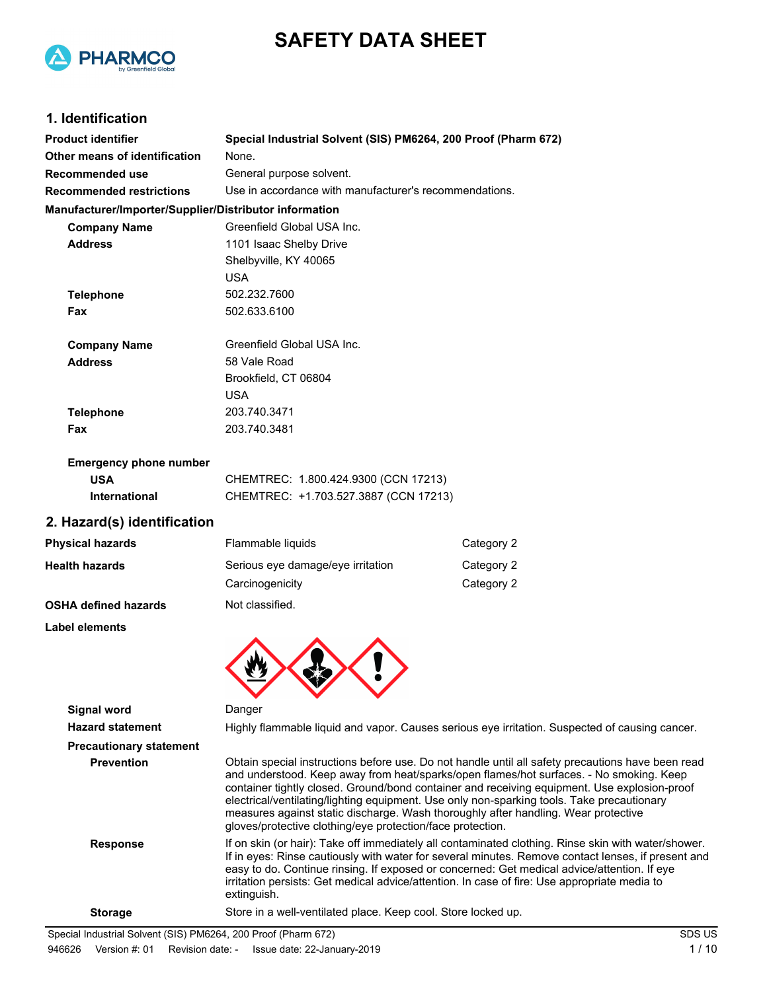



## **1. Identification**

| <b>Product identifier</b>                              | Special Industrial Solvent (SIS) PM6264, 200 Proof (Pharm 672)                                                                                                                          |                                                                                                |  |
|--------------------------------------------------------|-----------------------------------------------------------------------------------------------------------------------------------------------------------------------------------------|------------------------------------------------------------------------------------------------|--|
| Other means of identification                          | None.                                                                                                                                                                                   |                                                                                                |  |
| <b>Recommended use</b>                                 | General purpose solvent.                                                                                                                                                                |                                                                                                |  |
| <b>Recommended restrictions</b>                        | Use in accordance with manufacturer's recommendations.                                                                                                                                  |                                                                                                |  |
| Manufacturer/Importer/Supplier/Distributor information |                                                                                                                                                                                         |                                                                                                |  |
| <b>Company Name</b>                                    | Greenfield Global USA Inc.                                                                                                                                                              |                                                                                                |  |
| <b>Address</b>                                         | 1101 Isaac Shelby Drive                                                                                                                                                                 |                                                                                                |  |
|                                                        | Shelbyville, KY 40065                                                                                                                                                                   |                                                                                                |  |
|                                                        | <b>USA</b>                                                                                                                                                                              |                                                                                                |  |
| <b>Telephone</b>                                       | 502.232.7600                                                                                                                                                                            |                                                                                                |  |
| Fax                                                    | 502.633.6100                                                                                                                                                                            |                                                                                                |  |
| <b>Company Name</b>                                    | Greenfield Global USA Inc.                                                                                                                                                              |                                                                                                |  |
| <b>Address</b>                                         | 58 Vale Road                                                                                                                                                                            |                                                                                                |  |
|                                                        | Brookfield, CT 06804                                                                                                                                                                    |                                                                                                |  |
|                                                        | <b>USA</b>                                                                                                                                                                              |                                                                                                |  |
| <b>Telephone</b>                                       | 203.740.3471                                                                                                                                                                            |                                                                                                |  |
| Fax                                                    | 203.740.3481                                                                                                                                                                            |                                                                                                |  |
| <b>Emergency phone number</b>                          |                                                                                                                                                                                         |                                                                                                |  |
| <b>USA</b>                                             | CHEMTREC: 1.800.424.9300 (CCN 17213)                                                                                                                                                    |                                                                                                |  |
| International                                          | CHEMTREC: +1.703.527.3887 (CCN 17213)                                                                                                                                                   |                                                                                                |  |
| 2. Hazard(s) identification                            |                                                                                                                                                                                         |                                                                                                |  |
| <b>Physical hazards</b>                                | Flammable liquids                                                                                                                                                                       | Category 2                                                                                     |  |
| <b>Health hazards</b>                                  | Serious eye damage/eye irritation                                                                                                                                                       | Category 2                                                                                     |  |
|                                                        | Carcinogenicity                                                                                                                                                                         | Category 2                                                                                     |  |
| <b>OSHA defined hazards</b>                            | Not classified.                                                                                                                                                                         |                                                                                                |  |
| <b>Label elements</b>                                  |                                                                                                                                                                                         |                                                                                                |  |
|                                                        |                                                                                                                                                                                         |                                                                                                |  |
| <b>Signal word</b>                                     | Danger                                                                                                                                                                                  |                                                                                                |  |
| <b>Hazard statement</b>                                |                                                                                                                                                                                         | Highly flammable liquid and vapor. Causes serious eye irritation. Suspected of causing cancer. |  |
| <b>Precautionary statement</b>                         |                                                                                                                                                                                         |                                                                                                |  |
| <b>Prevention</b>                                      | Obtain special instructions before use. Do not handle until all safety precautions have been rea<br>and understood Keep away from boat/sparks/enon flames/bot surfaces. No smoking Keep |                                                                                                |  |

recautions have been read and understood. Keep away from heat/sparks/open flames/hot surfaces. - No smoking. Keep container tightly closed. Ground/bond container and receiving equipment. Use explosion-proof electrical/ventilating/lighting equipment. Use only non-sparking tools. Take precautionary measures against static discharge. Wash thoroughly after handling. Wear protective gloves/protective clothing/eye protection/face protection.

**Response** If on skin (or hair): Take off immediately all contaminated clothing. Rinse skin with water/shower. If in eyes: Rinse cautiously with water for several minutes. Remove contact lenses, if present and easy to do. Continue rinsing. If exposed or concerned: Get medical advice/attention. If eye irritation persists: Get medical advice/attention. In case of fire: Use appropriate media to extinguish.

**Storage** Store in a well-ventilated place. Keep cool. Store locked up.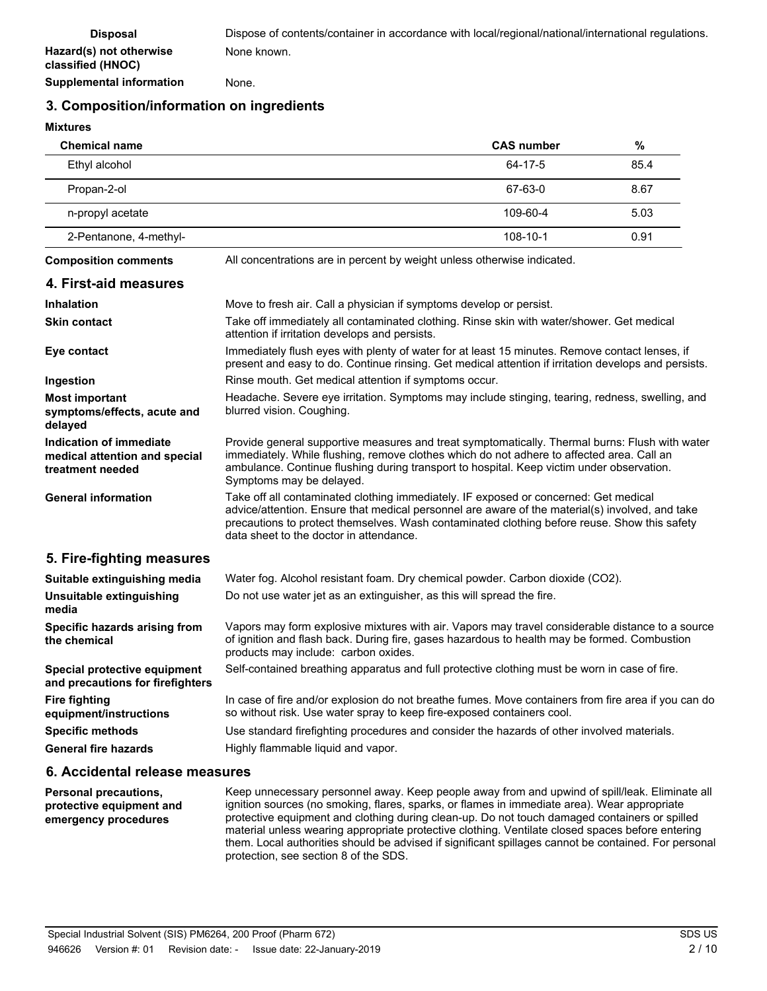**Supplemental information** None.

## **3. Composition/information on ingredients**

**Mixtures**

| <b>Chemical name</b>   | <b>CAS number</b> | %    |
|------------------------|-------------------|------|
| Ethyl alcohol          | 64-17-5           | 85.4 |
| Propan-2-ol            | 67-63-0           | 8.67 |
| n-propyl acetate       | 109-60-4          | 5.03 |
| 2-Pentanone, 4-methyl- | 108-10-1          | 0.91 |

**Composition comments** All concentrations are in percent by weight unless otherwise indicated.

### **4. First-aid measures**

| <b>Inhalation</b>                                                            | Move to fresh air. Call a physician if symptoms develop or persist.                                                                                                                                                                                                                                                                |
|------------------------------------------------------------------------------|------------------------------------------------------------------------------------------------------------------------------------------------------------------------------------------------------------------------------------------------------------------------------------------------------------------------------------|
| <b>Skin contact</b>                                                          | Take off immediately all contaminated clothing. Rinse skin with water/shower. Get medical<br>attention if irritation develops and persists.                                                                                                                                                                                        |
| Eye contact                                                                  | Immediately flush eyes with plenty of water for at least 15 minutes. Remove contact lenses, if<br>present and easy to do. Continue rinsing. Get medical attention if irritation develops and persists.                                                                                                                             |
| Ingestion                                                                    | Rinse mouth. Get medical attention if symptoms occur.                                                                                                                                                                                                                                                                              |
| <b>Most important</b><br>symptoms/effects, acute and<br>delayed              | Headache. Severe eye irritation. Symptoms may include stinging, tearing, redness, swelling, and<br>blurred vision. Coughing.                                                                                                                                                                                                       |
| Indication of immediate<br>medical attention and special<br>treatment needed | Provide general supportive measures and treat symptomatically. Thermal burns: Flush with water<br>immediately. While flushing, remove clothes which do not adhere to affected area. Call an<br>ambulance. Continue flushing during transport to hospital. Keep victim under observation.<br>Symptoms may be delayed.               |
| <b>General information</b>                                                   | Take off all contaminated clothing immediately. IF exposed or concerned: Get medical<br>advice/attention. Ensure that medical personnel are aware of the material(s) involved, and take<br>precautions to protect themselves. Wash contaminated clothing before reuse. Show this safety<br>data sheet to the doctor in attendance. |
| 5. Fire-fighting measures                                                    |                                                                                                                                                                                                                                                                                                                                    |
| Suitable extinguishing media                                                 | Water fog. Alcohol resistant foam. Dry chemical powder. Carbon dioxide (CO2).                                                                                                                                                                                                                                                      |
| Unsuitable extinguishing<br>media                                            | Do not use water jet as an extinguisher, as this will spread the fire.                                                                                                                                                                                                                                                             |
| Specific hazards arising from<br>the chemical                                | Vapors may form explosive mixtures with air. Vapors may travel considerable distance to a source<br>of ignition and flash back. During fire, gases hazardous to health may be formed. Combustion<br>products may include: carbon oxides.                                                                                           |
| Special protective equipment<br>and precautions for firefighters             | Self-contained breathing apparatus and full protective clothing must be worn in case of fire.                                                                                                                                                                                                                                      |
| <b>Fire fighting</b><br>equipment/instructions                               | In case of fire and/or explosion do not breathe fumes. Move containers from fire area if you can do<br>so without risk. Use water spray to keep fire-exposed containers cool.                                                                                                                                                      |
| <b>Specific methods</b>                                                      | Use standard firefighting procedures and consider the hazards of other involved materials.                                                                                                                                                                                                                                         |
| <b>General fire hazards</b>                                                  | Highly flammable liquid and vapor.                                                                                                                                                                                                                                                                                                 |

### **6. Accidental release measures**

Keep unnecessary personnel away. Keep people away from and upwind of spill/leak. Eliminate all ignition sources (no smoking, flares, sparks, or flames in immediate area). Wear appropriate protective equipment and clothing during clean-up. Do not touch damaged containers or spilled material unless wearing appropriate protective clothing. Ventilate closed spaces before entering them. Local authorities should be advised if significant spillages cannot be contained. For personal protection, see section 8 of the SDS. **Personal precautions, protective equipment and emergency procedures**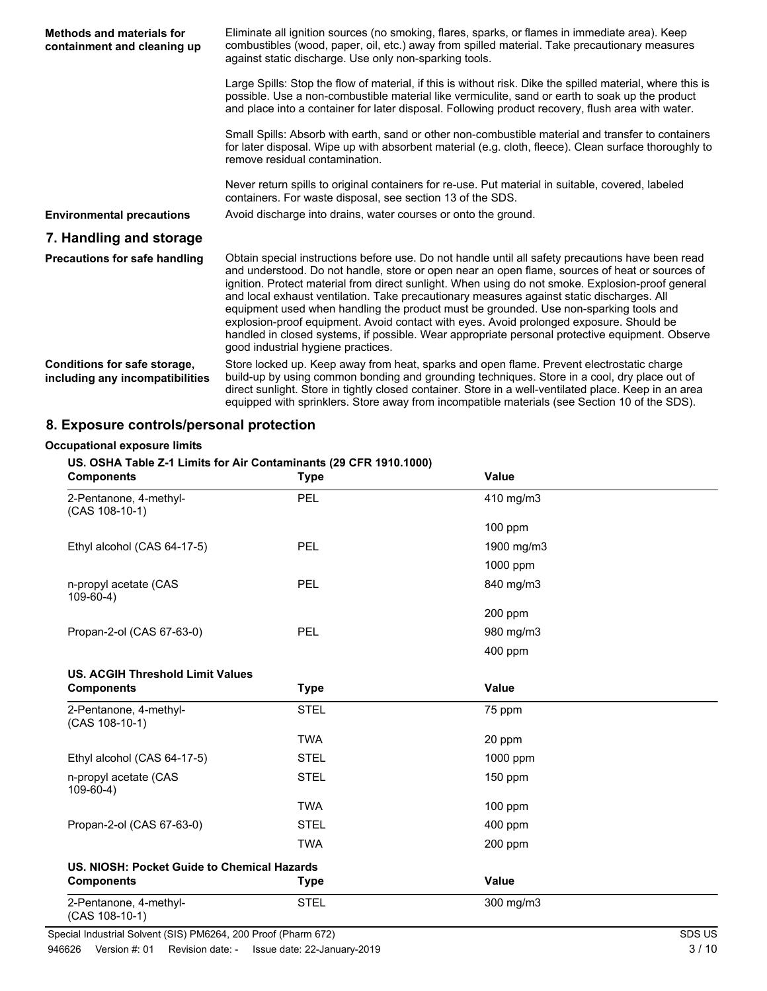| Methods and materials for<br>containment and cleaning up        | Eliminate all ignition sources (no smoking, flares, sparks, or flames in immediate area). Keep<br>combustibles (wood, paper, oil, etc.) away from spilled material. Take precautionary measures<br>against static discharge. Use only non-sparking tools.                                                                                                                                                                                                                                                                                                                                                                                                                                                                          |  |  |
|-----------------------------------------------------------------|------------------------------------------------------------------------------------------------------------------------------------------------------------------------------------------------------------------------------------------------------------------------------------------------------------------------------------------------------------------------------------------------------------------------------------------------------------------------------------------------------------------------------------------------------------------------------------------------------------------------------------------------------------------------------------------------------------------------------------|--|--|
|                                                                 | Large Spills: Stop the flow of material, if this is without risk. Dike the spilled material, where this is<br>possible. Use a non-combustible material like vermiculite, sand or earth to soak up the product<br>and place into a container for later disposal. Following product recovery, flush area with water.                                                                                                                                                                                                                                                                                                                                                                                                                 |  |  |
|                                                                 | Small Spills: Absorb with earth, sand or other non-combustible material and transfer to containers<br>for later disposal. Wipe up with absorbent material (e.g. cloth, fleece). Clean surface thoroughly to<br>remove residual contamination.                                                                                                                                                                                                                                                                                                                                                                                                                                                                                      |  |  |
|                                                                 | Never return spills to original containers for re-use. Put material in suitable, covered, labeled<br>containers. For waste disposal, see section 13 of the SDS.                                                                                                                                                                                                                                                                                                                                                                                                                                                                                                                                                                    |  |  |
| <b>Environmental precautions</b>                                | Avoid discharge into drains, water courses or onto the ground.                                                                                                                                                                                                                                                                                                                                                                                                                                                                                                                                                                                                                                                                     |  |  |
| 7. Handling and storage                                         |                                                                                                                                                                                                                                                                                                                                                                                                                                                                                                                                                                                                                                                                                                                                    |  |  |
| <b>Precautions for safe handling</b>                            | Obtain special instructions before use. Do not handle until all safety precautions have been read<br>and understood. Do not handle, store or open near an open flame, sources of heat or sources of<br>ignition. Protect material from direct sunlight. When using do not smoke. Explosion-proof general<br>and local exhaust ventilation. Take precautionary measures against static discharges. All<br>equipment used when handling the product must be grounded. Use non-sparking tools and<br>explosion-proof equipment. Avoid contact with eyes. Avoid prolonged exposure. Should be<br>handled in closed systems, if possible. Wear appropriate personal protective equipment. Observe<br>good industrial hygiene practices. |  |  |
| Conditions for safe storage,<br>including any incompatibilities | Store locked up. Keep away from heat, sparks and open flame. Prevent electrostatic charge<br>build-up by using common bonding and grounding techniques. Store in a cool, dry place out of<br>direct sunlight. Store in tightly closed container. Store in a well-ventilated place. Keep in an area<br>equipped with sprinklers. Store away from incompatible materials (see Section 10 of the SDS).                                                                                                                                                                                                                                                                                                                                |  |  |

## **8. Exposure controls/personal protection**

### **Occupational exposure limits**

### **US. OSHA Table Z-1 Limits for Air Contaminants (29 CFR 1910.1000)**

| <b>Components</b>                           | <b>Type</b> | <b>Value</b> |  |
|---------------------------------------------|-------------|--------------|--|
| 2-Pentanone, 4-methyl-<br>$(CAS 108-10-1)$  | PEL         | 410 mg/m3    |  |
|                                             |             | 100 ppm      |  |
| Ethyl alcohol (CAS 64-17-5)                 | PEL         | 1900 mg/m3   |  |
|                                             |             | 1000 ppm     |  |
| n-propyl acetate (CAS<br>$109-60-4)$        | PEL         | 840 mg/m3    |  |
|                                             |             | 200 ppm      |  |
| Propan-2-ol (CAS 67-63-0)                   | PEL         | 980 mg/m3    |  |
|                                             |             | 400 ppm      |  |
| <b>US. ACGIH Threshold Limit Values</b>     |             |              |  |
| <b>Components</b>                           | <b>Type</b> | <b>Value</b> |  |
| 2-Pentanone, 4-methyl-<br>$(CAS 108-10-1)$  | <b>STEL</b> | 75 ppm       |  |
|                                             | <b>TWA</b>  | 20 ppm       |  |
| Ethyl alcohol (CAS 64-17-5)                 | <b>STEL</b> | 1000 ppm     |  |
| n-propyl acetate (CAS<br>$109-60-4)$        | <b>STEL</b> | 150 ppm      |  |
|                                             | <b>TWA</b>  | $100$ ppm    |  |
| Propan-2-ol (CAS 67-63-0)                   | <b>STEL</b> | 400 ppm      |  |
|                                             | <b>TWA</b>  | 200 ppm      |  |
| US. NIOSH: Pocket Guide to Chemical Hazards |             |              |  |
| <b>Components</b>                           | <b>Type</b> | <b>Value</b> |  |
| 2-Pentanone, 4-methyl-<br>(CAS 108-10-1)    | <b>STEL</b> | 300 mg/m3    |  |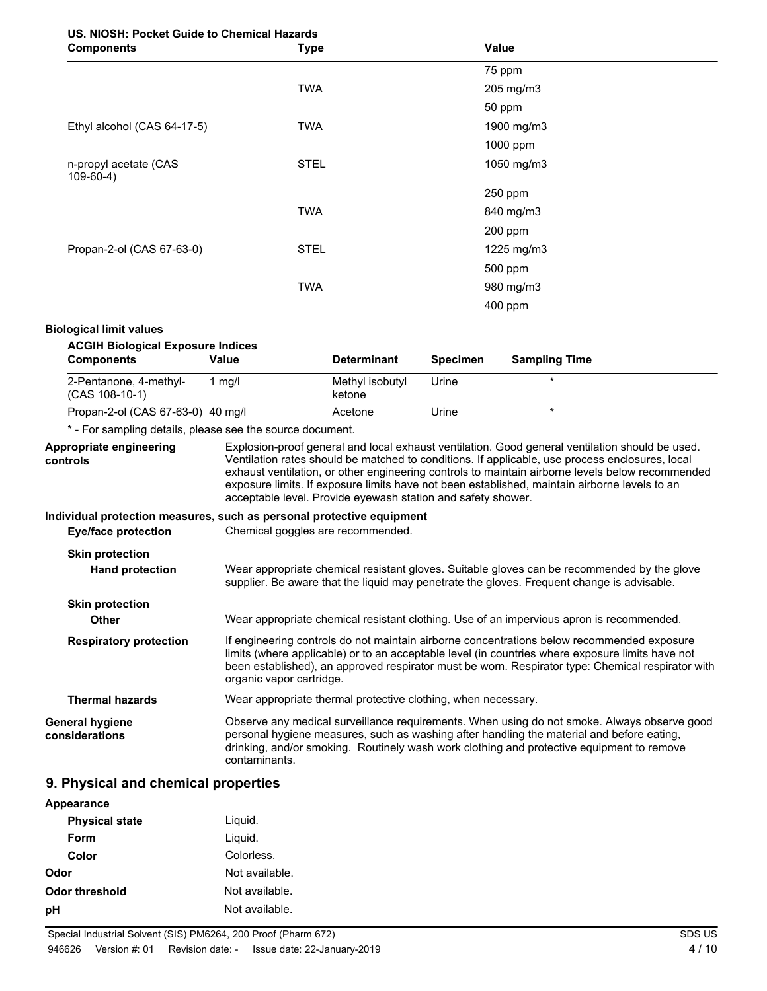# **US. NIOSH: Pocket Guide to Chemical Hazards**

| <b>Components</b>                    | <b>Type</b> | Value      |  |
|--------------------------------------|-------------|------------|--|
|                                      |             | 75 ppm     |  |
|                                      | <b>TWA</b>  | 205 mg/m3  |  |
|                                      |             | 50 ppm     |  |
| Ethyl alcohol (CAS 64-17-5)          | <b>TWA</b>  | 1900 mg/m3 |  |
|                                      |             | 1000 ppm   |  |
| n-propyl acetate (CAS<br>$109-60-4)$ | <b>STEL</b> | 1050 mg/m3 |  |
|                                      |             | 250 ppm    |  |
|                                      | <b>TWA</b>  | 840 mg/m3  |  |
|                                      |             | 200 ppm    |  |
| Propan-2-ol (CAS 67-63-0)            | <b>STEL</b> | 1225 mg/m3 |  |
|                                      |             | 500 ppm    |  |
|                                      | <b>TWA</b>  | 980 mg/m3  |  |
|                                      |             | 400 ppm    |  |

### **Biological limit values**

| <b>ACGIH Biological Exposure Indices</b>                              |                          |                                                               |                 |                                                                                                                                                                                                                                                                                                                                                                                                         |  |
|-----------------------------------------------------------------------|--------------------------|---------------------------------------------------------------|-----------------|---------------------------------------------------------------------------------------------------------------------------------------------------------------------------------------------------------------------------------------------------------------------------------------------------------------------------------------------------------------------------------------------------------|--|
| <b>Components</b>                                                     | Value                    | <b>Determinant</b>                                            | <b>Specimen</b> | <b>Sampling Time</b>                                                                                                                                                                                                                                                                                                                                                                                    |  |
| 2-Pentanone, 4-methyl-<br>$(CAS 108-10-1)$                            | $1$ mg/l                 | Methyl isobutyl<br>ketone                                     | Urine           | $\star$                                                                                                                                                                                                                                                                                                                                                                                                 |  |
| Propan-2-ol (CAS 67-63-0) 40 mg/l                                     |                          | Acetone                                                       | Urine           | $\star$                                                                                                                                                                                                                                                                                                                                                                                                 |  |
| * - For sampling details, please see the source document.             |                          |                                                               |                 |                                                                                                                                                                                                                                                                                                                                                                                                         |  |
| Appropriate engineering<br>controls                                   |                          | acceptable level. Provide eyewash station and safety shower.  |                 | Explosion-proof general and local exhaust ventilation. Good general ventilation should be used.<br>Ventilation rates should be matched to conditions. If applicable, use process enclosures, local<br>exhaust ventilation, or other engineering controls to maintain airborne levels below recommended<br>exposure limits. If exposure limits have not been established, maintain airborne levels to an |  |
| Individual protection measures, such as personal protective equipment |                          |                                                               |                 |                                                                                                                                                                                                                                                                                                                                                                                                         |  |
| <b>Eye/face protection</b>                                            |                          | Chemical goggles are recommended.                             |                 |                                                                                                                                                                                                                                                                                                                                                                                                         |  |
| <b>Skin protection</b><br><b>Hand protection</b>                      |                          |                                                               |                 | Wear appropriate chemical resistant gloves. Suitable gloves can be recommended by the glove<br>supplier. Be aware that the liquid may penetrate the gloves. Frequent change is advisable.                                                                                                                                                                                                               |  |
| <b>Skin protection</b>                                                |                          |                                                               |                 |                                                                                                                                                                                                                                                                                                                                                                                                         |  |
| Other                                                                 |                          |                                                               |                 | Wear appropriate chemical resistant clothing. Use of an impervious apron is recommended.                                                                                                                                                                                                                                                                                                                |  |
| <b>Respiratory protection</b>                                         | organic vapor cartridge. |                                                               |                 | If engineering controls do not maintain airborne concentrations below recommended exposure<br>limits (where applicable) or to an acceptable level (in countries where exposure limits have not<br>been established), an approved respirator must be worn. Respirator type: Chemical respirator with                                                                                                     |  |
| <b>Thermal hazards</b>                                                |                          | Wear appropriate thermal protective clothing, when necessary. |                 |                                                                                                                                                                                                                                                                                                                                                                                                         |  |
| General hygiene<br>considerations                                     | contaminants.            |                                                               |                 | Observe any medical surveillance requirements. When using do not smoke. Always observe good<br>personal hygiene measures, such as washing after handling the material and before eating,<br>drinking, and/or smoking. Routinely wash work clothing and protective equipment to remove                                                                                                                   |  |

## **9. Physical and chemical properties**

| Appearance            |                |
|-----------------------|----------------|
| <b>Physical state</b> | Liquid.        |
| Form                  | Liquid.        |
| Color                 | Colorless.     |
| Odor                  | Not available. |
| Odor threshold        | Not available. |
| рH                    | Not available. |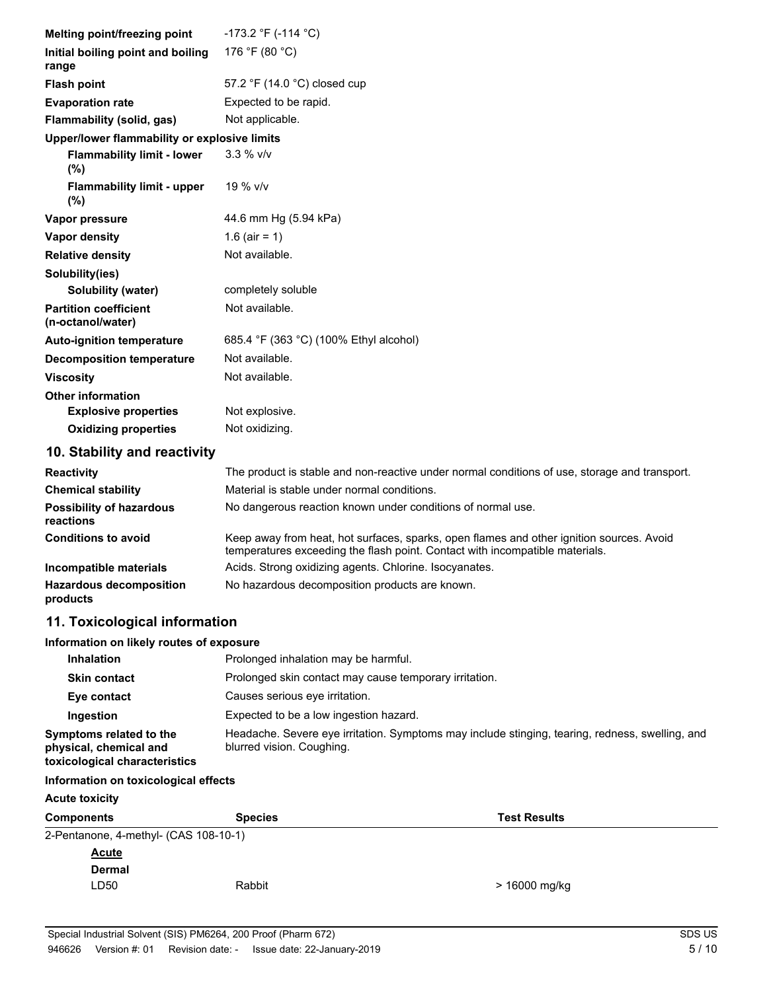| Melting point/freezing point                      | $-173.2$ °F (-114 °C)                                                                                                                                                    |  |
|---------------------------------------------------|--------------------------------------------------------------------------------------------------------------------------------------------------------------------------|--|
| Initial boiling point and boiling<br>range        | 176 °F (80 °C)                                                                                                                                                           |  |
| <b>Flash point</b>                                | 57.2 °F (14.0 °C) closed cup                                                                                                                                             |  |
| <b>Evaporation rate</b>                           | Expected to be rapid.                                                                                                                                                    |  |
| Flammability (solid, gas)                         | Not applicable.                                                                                                                                                          |  |
| Upper/lower flammability or explosive limits      |                                                                                                                                                                          |  |
| <b>Flammability limit - lower</b><br>(%)          | $3.3 %$ V/V                                                                                                                                                              |  |
| <b>Flammability limit - upper</b><br>(%)          | 19 % v/v                                                                                                                                                                 |  |
| Vapor pressure                                    | 44.6 mm Hg (5.94 kPa)                                                                                                                                                    |  |
| <b>Vapor density</b>                              | 1.6 (air = 1)                                                                                                                                                            |  |
| <b>Relative density</b>                           | Not available.                                                                                                                                                           |  |
| Solubility(ies)                                   |                                                                                                                                                                          |  |
| Solubility (water)                                | completely soluble                                                                                                                                                       |  |
| <b>Partition coefficient</b><br>(n-octanol/water) | Not available.                                                                                                                                                           |  |
| <b>Auto-ignition temperature</b>                  | 685.4 °F (363 °C) (100% Ethyl alcohol)                                                                                                                                   |  |
| <b>Decomposition temperature</b>                  | Not available.                                                                                                                                                           |  |
| <b>Viscosity</b>                                  | Not available.                                                                                                                                                           |  |
| <b>Other information</b>                          |                                                                                                                                                                          |  |
| <b>Explosive properties</b>                       | Not explosive.                                                                                                                                                           |  |
| <b>Oxidizing properties</b>                       | Not oxidizing.                                                                                                                                                           |  |
| 10. Stability and reactivity                      |                                                                                                                                                                          |  |
| <b>Reactivity</b>                                 | The product is stable and non-reactive under normal conditions of use, storage and transport.                                                                            |  |
| <b>Chemical stability</b>                         | Material is stable under normal conditions.                                                                                                                              |  |
| <b>Possibility of hazardous</b><br>reactions      | No dangerous reaction known under conditions of normal use.                                                                                                              |  |
| <b>Conditions to avoid</b>                        | Keep away from heat, hot surfaces, sparks, open flames and other ignition sources. Avoid<br>temperatures exceeding the flash point. Contact with incompatible materials. |  |

|                                     | tomporatures executing the nash point. Contact with incompatible materials. |
|-------------------------------------|-----------------------------------------------------------------------------|
| Incompatible materials              | Acids. Strong oxidizing agents. Chlorine. Isocyanates.                      |
| Hazardous decomposition<br>products | No hazardous decomposition products are known.                              |

# **11. Toxicological information**

## **Information on likely routes of exposure**

| <b>Inhalation</b>                                                                  | Prolonged inhalation may be harmful.                                                                                         |
|------------------------------------------------------------------------------------|------------------------------------------------------------------------------------------------------------------------------|
| <b>Skin contact</b>                                                                | Prolonged skin contact may cause temporary irritation.                                                                       |
| Eye contact                                                                        | Causes serious eve irritation.                                                                                               |
| Ingestion                                                                          | Expected to be a low ingestion hazard.                                                                                       |
| Symptoms related to the<br>physical, chemical and<br>toxicological characteristics | Headache. Severe eye irritation. Symptoms may include stinging, tearing, redness, swelling, and<br>blurred vision. Coughing. |

## **Information on toxicological effects**

| <b>Acute toxicity</b>                 |                |                     |
|---------------------------------------|----------------|---------------------|
| <b>Components</b>                     | <b>Species</b> | <b>Test Results</b> |
| 2-Pentanone, 4-methyl- (CAS 108-10-1) |                |                     |
| <b>Acute</b>                          |                |                     |
| <b>Dermal</b>                         |                |                     |
| LD50                                  | Rabbit         | > 16000 mg/kg       |
|                                       |                |                     |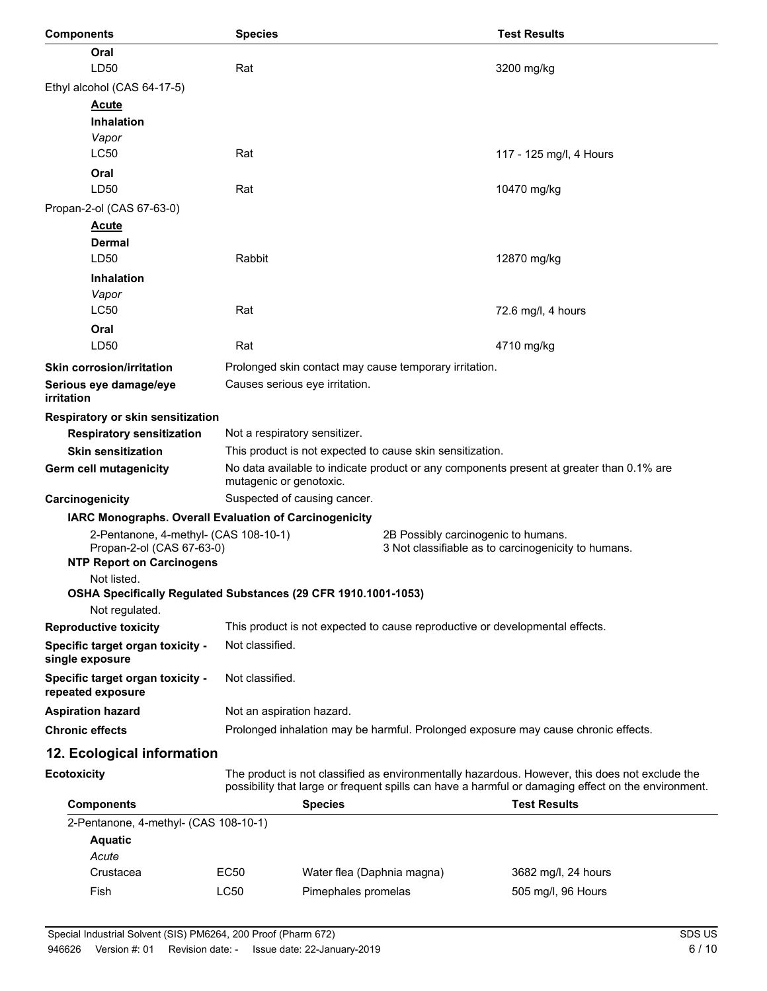| <b>Components</b>                                                                                      | <b>Species</b>                |                                                                                                                     |                                                        | <b>Test Results</b>                                                                                                                                                                                   |
|--------------------------------------------------------------------------------------------------------|-------------------------------|---------------------------------------------------------------------------------------------------------------------|--------------------------------------------------------|-------------------------------------------------------------------------------------------------------------------------------------------------------------------------------------------------------|
| Oral                                                                                                   |                               |                                                                                                                     |                                                        |                                                                                                                                                                                                       |
| LD50                                                                                                   | Rat                           |                                                                                                                     |                                                        | 3200 mg/kg                                                                                                                                                                                            |
| Ethyl alcohol (CAS 64-17-5)                                                                            |                               |                                                                                                                     |                                                        |                                                                                                                                                                                                       |
| <b>Acute</b>                                                                                           |                               |                                                                                                                     |                                                        |                                                                                                                                                                                                       |
| <b>Inhalation</b>                                                                                      |                               |                                                                                                                     |                                                        |                                                                                                                                                                                                       |
| Vapor<br>LC50                                                                                          | Rat                           |                                                                                                                     |                                                        | 117 - 125 mg/l, 4 Hours                                                                                                                                                                               |
| Oral                                                                                                   |                               |                                                                                                                     |                                                        |                                                                                                                                                                                                       |
| LD50                                                                                                   | Rat                           |                                                                                                                     |                                                        | 10470 mg/kg                                                                                                                                                                                           |
| Propan-2-ol (CAS 67-63-0)                                                                              |                               |                                                                                                                     |                                                        |                                                                                                                                                                                                       |
| <u>Acute</u>                                                                                           |                               |                                                                                                                     |                                                        |                                                                                                                                                                                                       |
| <b>Dermal</b>                                                                                          |                               |                                                                                                                     |                                                        |                                                                                                                                                                                                       |
| LD50                                                                                                   | Rabbit                        |                                                                                                                     |                                                        | 12870 mg/kg                                                                                                                                                                                           |
| <b>Inhalation</b>                                                                                      |                               |                                                                                                                     |                                                        |                                                                                                                                                                                                       |
| Vapor                                                                                                  |                               |                                                                                                                     |                                                        |                                                                                                                                                                                                       |
| <b>LC50</b>                                                                                            | Rat                           |                                                                                                                     |                                                        | 72.6 mg/l, 4 hours                                                                                                                                                                                    |
| Oral                                                                                                   |                               |                                                                                                                     |                                                        |                                                                                                                                                                                                       |
| LD50                                                                                                   | Rat                           |                                                                                                                     |                                                        | 4710 mg/kg                                                                                                                                                                                            |
| <b>Skin corrosion/irritation</b>                                                                       |                               |                                                                                                                     | Prolonged skin contact may cause temporary irritation. |                                                                                                                                                                                                       |
| Serious eye damage/eye<br>irritation                                                                   |                               | Causes serious eye irritation.                                                                                      |                                                        |                                                                                                                                                                                                       |
| Respiratory or skin sensitization                                                                      |                               |                                                                                                                     |                                                        |                                                                                                                                                                                                       |
| <b>Respiratory sensitization</b>                                                                       | Not a respiratory sensitizer. |                                                                                                                     |                                                        |                                                                                                                                                                                                       |
| <b>Skin sensitization</b>                                                                              |                               | This product is not expected to cause skin sensitization.                                                           |                                                        |                                                                                                                                                                                                       |
| Germ cell mutagenicity                                                                                 |                               | No data available to indicate product or any components present at greater than 0.1% are<br>mutagenic or genotoxic. |                                                        |                                                                                                                                                                                                       |
| Carcinogenicity                                                                                        |                               | Suspected of causing cancer.                                                                                        |                                                        |                                                                                                                                                                                                       |
| IARC Monographs. Overall Evaluation of Carcinogenicity                                                 |                               |                                                                                                                     |                                                        |                                                                                                                                                                                                       |
| 2-Pentanone, 4-methyl- (CAS 108-10-1)<br>Propan-2-ol (CAS 67-63-0)<br><b>NTP Report on Carcinogens</b> |                               |                                                                                                                     | 2B Possibly carcinogenic to humans.                    | 3 Not classifiable as to carcinogenicity to humans.                                                                                                                                                   |
| Not listed.<br>OSHA Specifically Regulated Substances (29 CFR 1910.1001-1053)                          |                               |                                                                                                                     |                                                        |                                                                                                                                                                                                       |
| Not regulated.                                                                                         |                               |                                                                                                                     |                                                        |                                                                                                                                                                                                       |
| <b>Reproductive toxicity</b>                                                                           |                               |                                                                                                                     |                                                        | This product is not expected to cause reproductive or developmental effects.                                                                                                                          |
| Specific target organ toxicity -<br>single exposure                                                    | Not classified.               |                                                                                                                     |                                                        |                                                                                                                                                                                                       |
| Specific target organ toxicity -<br>repeated exposure                                                  | Not classified.               |                                                                                                                     |                                                        |                                                                                                                                                                                                       |
| <b>Aspiration hazard</b>                                                                               |                               | Not an aspiration hazard.                                                                                           |                                                        |                                                                                                                                                                                                       |
| <b>Chronic effects</b>                                                                                 |                               | Prolonged inhalation may be harmful. Prolonged exposure may cause chronic effects.                                  |                                                        |                                                                                                                                                                                                       |
| 12. Ecological information                                                                             |                               |                                                                                                                     |                                                        |                                                                                                                                                                                                       |
| <b>Ecotoxicity</b>                                                                                     |                               |                                                                                                                     |                                                        | The product is not classified as environmentally hazardous. However, this does not exclude the<br>possibility that large or frequent spills can have a harmful or damaging effect on the environment. |
| <b>Components</b>                                                                                      |                               | <b>Species</b>                                                                                                      |                                                        | <b>Test Results</b>                                                                                                                                                                                   |
| 2-Pentanone, 4-methyl- (CAS 108-10-1)                                                                  |                               |                                                                                                                     |                                                        |                                                                                                                                                                                                       |
| <b>Aquatic</b>                                                                                         |                               |                                                                                                                     |                                                        |                                                                                                                                                                                                       |
| Acute                                                                                                  |                               |                                                                                                                     |                                                        |                                                                                                                                                                                                       |
| Crustacea                                                                                              | <b>EC50</b><br>LC50           | Water flea (Daphnia magna)                                                                                          |                                                        | 3682 mg/l, 24 hours                                                                                                                                                                                   |
| Fish                                                                                                   |                               | Pimephales promelas                                                                                                 |                                                        | 505 mg/l, 96 Hours                                                                                                                                                                                    |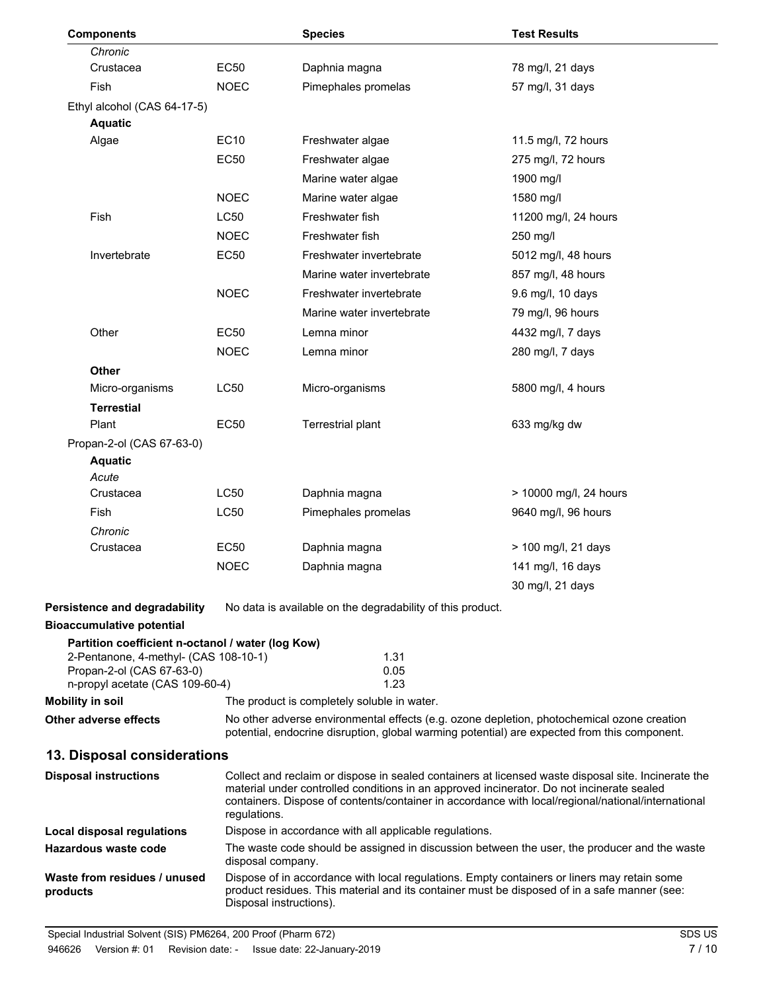| <b>Components</b>                                                        |                   | <b>Species</b>                                                                                                                                                                              | <b>Test Results</b>                                                                                                                                                                             |
|--------------------------------------------------------------------------|-------------------|---------------------------------------------------------------------------------------------------------------------------------------------------------------------------------------------|-------------------------------------------------------------------------------------------------------------------------------------------------------------------------------------------------|
| Chronic                                                                  |                   |                                                                                                                                                                                             |                                                                                                                                                                                                 |
| Crustacea                                                                | <b>EC50</b>       | Daphnia magna                                                                                                                                                                               | 78 mg/l, 21 days                                                                                                                                                                                |
| <b>Fish</b>                                                              | <b>NOEC</b>       | Pimephales promelas                                                                                                                                                                         | 57 mg/l, 31 days                                                                                                                                                                                |
| Ethyl alcohol (CAS 64-17-5)                                              |                   |                                                                                                                                                                                             |                                                                                                                                                                                                 |
| <b>Aquatic</b>                                                           |                   |                                                                                                                                                                                             |                                                                                                                                                                                                 |
| Algae                                                                    | <b>EC10</b>       | Freshwater algae                                                                                                                                                                            | 11.5 mg/l, 72 hours                                                                                                                                                                             |
|                                                                          | <b>EC50</b>       | Freshwater algae                                                                                                                                                                            | 275 mg/l, 72 hours                                                                                                                                                                              |
|                                                                          |                   | Marine water algae                                                                                                                                                                          | 1900 mg/l                                                                                                                                                                                       |
|                                                                          | <b>NOEC</b>       | Marine water algae                                                                                                                                                                          | 1580 mg/l                                                                                                                                                                                       |
| Fish                                                                     | <b>LC50</b>       | Freshwater fish                                                                                                                                                                             | 11200 mg/l, 24 hours                                                                                                                                                                            |
|                                                                          | <b>NOEC</b>       | Freshwater fish                                                                                                                                                                             | 250 mg/l                                                                                                                                                                                        |
| Invertebrate                                                             | <b>EC50</b>       | Freshwater invertebrate                                                                                                                                                                     | 5012 mg/l, 48 hours                                                                                                                                                                             |
|                                                                          |                   | Marine water invertebrate                                                                                                                                                                   | 857 mg/l, 48 hours                                                                                                                                                                              |
|                                                                          | <b>NOEC</b>       | Freshwater invertebrate                                                                                                                                                                     | 9.6 mg/l, 10 days                                                                                                                                                                               |
|                                                                          |                   | Marine water invertebrate                                                                                                                                                                   | 79 mg/l, 96 hours                                                                                                                                                                               |
| Other                                                                    | <b>EC50</b>       | Lemna minor                                                                                                                                                                                 | 4432 mg/l, 7 days                                                                                                                                                                               |
|                                                                          | <b>NOEC</b>       | Lemna minor                                                                                                                                                                                 | 280 mg/l, 7 days                                                                                                                                                                                |
| <b>Other</b>                                                             |                   |                                                                                                                                                                                             |                                                                                                                                                                                                 |
| Micro-organisms                                                          | <b>LC50</b>       | Micro-organisms                                                                                                                                                                             | 5800 mg/l, 4 hours                                                                                                                                                                              |
| <b>Terrestial</b>                                                        |                   |                                                                                                                                                                                             |                                                                                                                                                                                                 |
| Plant                                                                    | <b>EC50</b>       | <b>Terrestrial plant</b>                                                                                                                                                                    | 633 mg/kg dw                                                                                                                                                                                    |
| Propan-2-ol (CAS 67-63-0)                                                |                   |                                                                                                                                                                                             |                                                                                                                                                                                                 |
| <b>Aquatic</b>                                                           |                   |                                                                                                                                                                                             |                                                                                                                                                                                                 |
| Acute<br>Crustacea                                                       | <b>LC50</b>       | Daphnia magna                                                                                                                                                                               | > 10000 mg/l, 24 hours                                                                                                                                                                          |
| Fish                                                                     | <b>LC50</b>       | Pimephales promelas                                                                                                                                                                         | 9640 mg/l, 96 hours                                                                                                                                                                             |
| Chronic                                                                  |                   |                                                                                                                                                                                             |                                                                                                                                                                                                 |
| Crustacea                                                                | EC50              | Daphnia magna                                                                                                                                                                               | > 100 mg/l, 21 days                                                                                                                                                                             |
|                                                                          | <b>NOEC</b>       | Daphnia magna                                                                                                                                                                               | 141 mg/l, 16 days                                                                                                                                                                               |
|                                                                          |                   |                                                                                                                                                                                             | 30 mg/l, 21 days                                                                                                                                                                                |
|                                                                          |                   |                                                                                                                                                                                             |                                                                                                                                                                                                 |
| <b>Persistence and degradability</b><br><b>Bioaccumulative potential</b> |                   | No data is available on the degradability of this product.                                                                                                                                  |                                                                                                                                                                                                 |
| Partition coefficient n-octanol / water (log Kow)                        |                   |                                                                                                                                                                                             |                                                                                                                                                                                                 |
| 2-Pentanone, 4-methyl- (CAS 108-10-1)                                    |                   | 1.31                                                                                                                                                                                        |                                                                                                                                                                                                 |
| Propan-2-ol (CAS 67-63-0)                                                |                   | 0.05                                                                                                                                                                                        |                                                                                                                                                                                                 |
| n-propyl acetate (CAS 109-60-4)                                          |                   | 1.23                                                                                                                                                                                        |                                                                                                                                                                                                 |
| <b>Mobility in soil</b><br>Other adverse effects                         |                   | The product is completely soluble in water.                                                                                                                                                 | No other adverse environmental effects (e.g. ozone depletion, photochemical ozone creation                                                                                                      |
|                                                                          |                   |                                                                                                                                                                                             | potential, endocrine disruption, global warming potential) are expected from this component.                                                                                                    |
| 13. Disposal considerations                                              |                   |                                                                                                                                                                                             |                                                                                                                                                                                                 |
| <b>Disposal instructions</b>                                             |                   |                                                                                                                                                                                             | Collect and reclaim or dispose in sealed containers at licensed waste disposal site. Incinerate the                                                                                             |
|                                                                          | regulations.      |                                                                                                                                                                                             | material under controlled conditions in an approved incinerator. Do not incinerate sealed<br>containers. Dispose of contents/container in accordance with local/regional/national/international |
| Local disposal regulations                                               |                   | Dispose in accordance with all applicable regulations.                                                                                                                                      |                                                                                                                                                                                                 |
| Hazardous waste code                                                     | disposal company. |                                                                                                                                                                                             | The waste code should be assigned in discussion between the user, the producer and the waste                                                                                                    |
| Waste from residues / unused<br>products                                 |                   | Dispose of in accordance with local regulations. Empty containers or liners may retain some<br>product residues. This material and its container must be disposed of in a safe manner (see: |                                                                                                                                                                                                 |

Disposal instructions).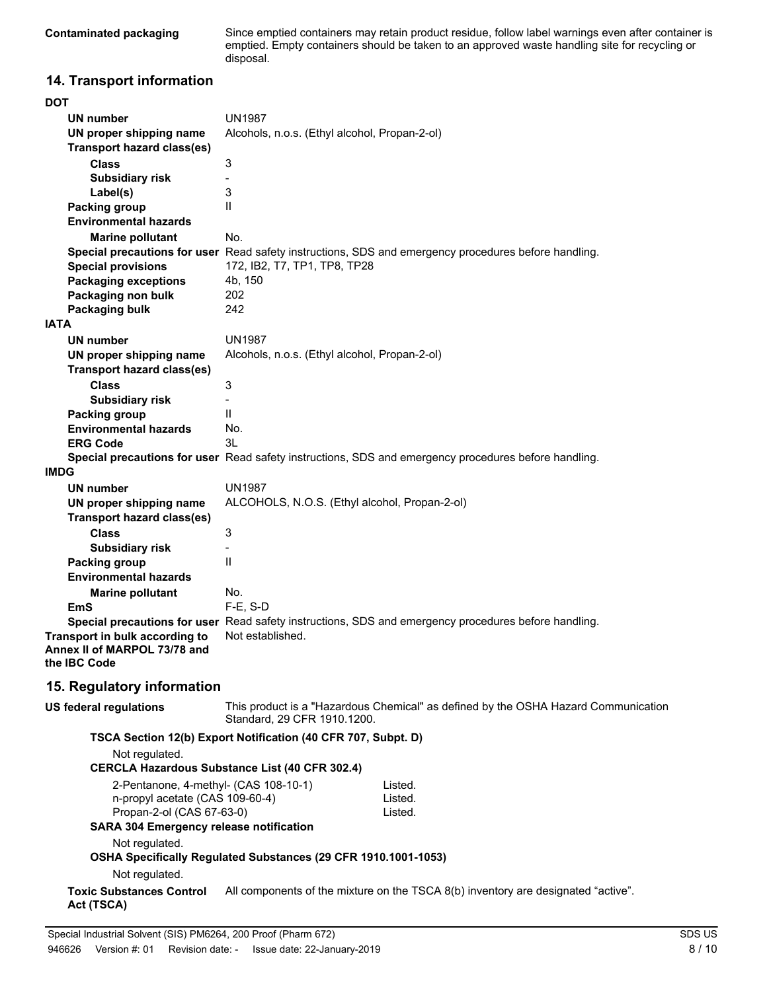**Contaminated packaging**

Since emptied containers may retain product residue, follow label warnings even after container is emptied. Empty containers should be taken to an approved waste handling site for recycling or disposal.

## **14. Transport information**

| <b>DOT</b>                                     |                                                                                                      |  |  |
|------------------------------------------------|------------------------------------------------------------------------------------------------------|--|--|
| UN number                                      | <b>UN1987</b>                                                                                        |  |  |
| UN proper shipping name                        | Alcohols, n.o.s. (Ethyl alcohol, Propan-2-ol)                                                        |  |  |
| <b>Transport hazard class(es)</b>              |                                                                                                      |  |  |
| <b>Class</b>                                   | $\ensuremath{\mathsf{3}}$                                                                            |  |  |
| <b>Subsidiary risk</b>                         |                                                                                                      |  |  |
| Label(s)                                       | 3                                                                                                    |  |  |
| <b>Packing group</b>                           | Ш                                                                                                    |  |  |
| <b>Environmental hazards</b>                   |                                                                                                      |  |  |
| <b>Marine pollutant</b>                        | No.                                                                                                  |  |  |
|                                                | Special precautions for user Read safety instructions, SDS and emergency procedures before handling. |  |  |
| <b>Special provisions</b>                      | 172, IB2, T7, TP1, TP8, TP28                                                                         |  |  |
| <b>Packaging exceptions</b>                    | 4b, 150                                                                                              |  |  |
| Packaging non bulk                             | 202                                                                                                  |  |  |
| Packaging bulk                                 | 242                                                                                                  |  |  |
| <b>IATA</b>                                    |                                                                                                      |  |  |
| <b>UN number</b>                               | <b>UN1987</b>                                                                                        |  |  |
| UN proper shipping name                        | Alcohols, n.o.s. (Ethyl alcohol, Propan-2-ol)                                                        |  |  |
| <b>Transport hazard class(es)</b>              |                                                                                                      |  |  |
| <b>Class</b>                                   | 3                                                                                                    |  |  |
| <b>Subsidiary risk</b>                         |                                                                                                      |  |  |
| Packing group                                  | $\mathsf{II}$                                                                                        |  |  |
| <b>Environmental hazards</b>                   | No.                                                                                                  |  |  |
| <b>ERG Code</b>                                | 3L                                                                                                   |  |  |
|                                                | Special precautions for user Read safety instructions, SDS and emergency procedures before handling. |  |  |
| <b>IMDG</b>                                    |                                                                                                      |  |  |
| <b>UN number</b>                               | <b>UN1987</b>                                                                                        |  |  |
| UN proper shipping name                        | ALCOHOLS, N.O.S. (Ethyl alcohol, Propan-2-ol)                                                        |  |  |
| <b>Transport hazard class(es)</b>              |                                                                                                      |  |  |
| <b>Class</b>                                   | $\ensuremath{\mathsf{3}}$                                                                            |  |  |
| <b>Subsidiary risk</b>                         |                                                                                                      |  |  |
| Packing group                                  | $\mathsf{II}$                                                                                        |  |  |
| <b>Environmental hazards</b>                   |                                                                                                      |  |  |
| <b>Marine pollutant</b>                        | No.                                                                                                  |  |  |
| <b>EmS</b>                                     | F-E, S-D                                                                                             |  |  |
|                                                | Special precautions for user Read safety instructions, SDS and emergency procedures before handling. |  |  |
| Transport in bulk according to                 | Not established.                                                                                     |  |  |
| Annex II of MARPOL 73/78 and                   |                                                                                                      |  |  |
| the <b>IBC</b> Code                            |                                                                                                      |  |  |
| 15. Regulatory information                     |                                                                                                      |  |  |
|                                                |                                                                                                      |  |  |
| <b>US federal regulations</b>                  | This product is a "Hazardous Chemical" as defined by the OSHA Hazard Communication                   |  |  |
|                                                | Standard, 29 CFR 1910.1200.                                                                          |  |  |
|                                                | TSCA Section 12(b) Export Notification (40 CFR 707, Subpt. D)                                        |  |  |
| Not regulated.                                 |                                                                                                      |  |  |
|                                                | <b>CERCLA Hazardous Substance List (40 CFR 302.4)</b>                                                |  |  |
| 2-Pentanone, 4-methyl- (CAS 108-10-1)          | Listed.                                                                                              |  |  |
| n-propyl acetate (CAS 109-60-4)                | Listed.                                                                                              |  |  |
| Propan-2-ol (CAS 67-63-0)                      | Listed.                                                                                              |  |  |
| <b>SARA 304 Emergency release notification</b> |                                                                                                      |  |  |
| Not regulated.                                 |                                                                                                      |  |  |
|                                                | OSHA Specifically Regulated Substances (29 CFR 1910.1001-1053)                                       |  |  |
| Not regulated.                                 |                                                                                                      |  |  |
| <b>Toxic Substances Control</b>                | All components of the mixture on the TSCA 8(b) inventory are designated "active".                    |  |  |
| Act (TSCA)                                     |                                                                                                      |  |  |
|                                                |                                                                                                      |  |  |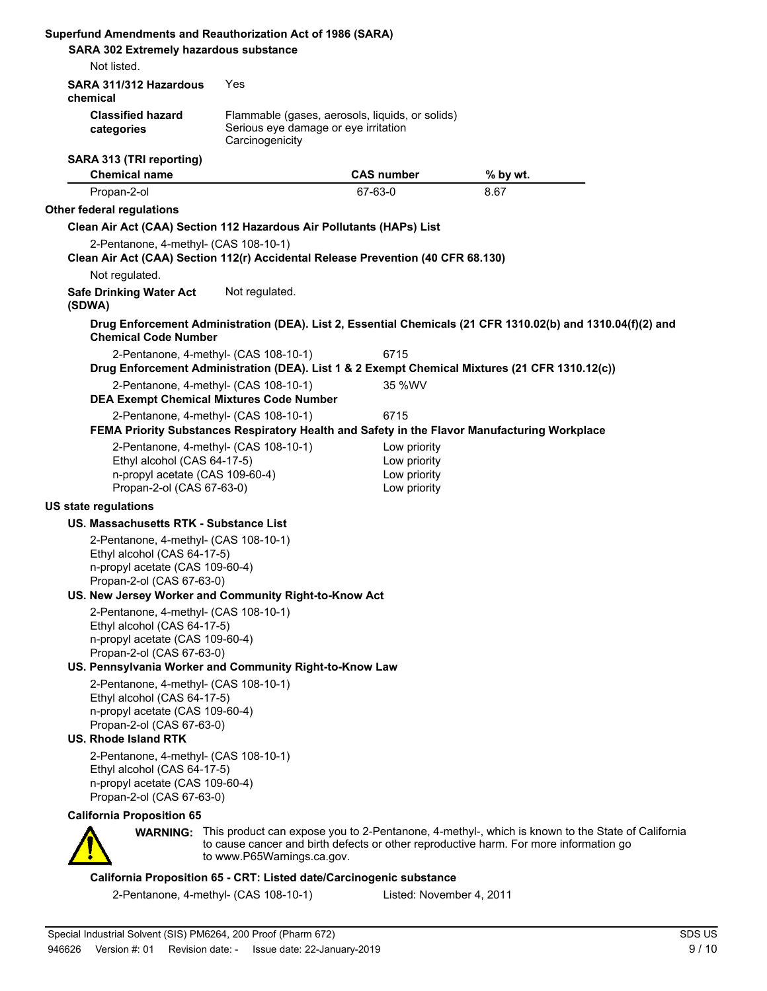| <b>SARA 302 Extremely hazardous substance</b>                                                                                        |                                              |                                                                                                                                                                                                                                                                                                                                                                                                                                                                                                                                                                                                                                                                                                                                                                                                                                                                                                                                                                                                                                                                                                                                                                   |
|--------------------------------------------------------------------------------------------------------------------------------------|----------------------------------------------|-------------------------------------------------------------------------------------------------------------------------------------------------------------------------------------------------------------------------------------------------------------------------------------------------------------------------------------------------------------------------------------------------------------------------------------------------------------------------------------------------------------------------------------------------------------------------------------------------------------------------------------------------------------------------------------------------------------------------------------------------------------------------------------------------------------------------------------------------------------------------------------------------------------------------------------------------------------------------------------------------------------------------------------------------------------------------------------------------------------------------------------------------------------------|
|                                                                                                                                      |                                              |                                                                                                                                                                                                                                                                                                                                                                                                                                                                                                                                                                                                                                                                                                                                                                                                                                                                                                                                                                                                                                                                                                                                                                   |
| SARA 311/312 Hazardous<br>Yes                                                                                                        |                                              |                                                                                                                                                                                                                                                                                                                                                                                                                                                                                                                                                                                                                                                                                                                                                                                                                                                                                                                                                                                                                                                                                                                                                                   |
| Carcinogenicity                                                                                                                      |                                              |                                                                                                                                                                                                                                                                                                                                                                                                                                                                                                                                                                                                                                                                                                                                                                                                                                                                                                                                                                                                                                                                                                                                                                   |
|                                                                                                                                      | <b>CAS number</b>                            | % by wt.                                                                                                                                                                                                                                                                                                                                                                                                                                                                                                                                                                                                                                                                                                                                                                                                                                                                                                                                                                                                                                                                                                                                                          |
|                                                                                                                                      | 67-63-0                                      | 8.67                                                                                                                                                                                                                                                                                                                                                                                                                                                                                                                                                                                                                                                                                                                                                                                                                                                                                                                                                                                                                                                                                                                                                              |
|                                                                                                                                      |                                              |                                                                                                                                                                                                                                                                                                                                                                                                                                                                                                                                                                                                                                                                                                                                                                                                                                                                                                                                                                                                                                                                                                                                                                   |
|                                                                                                                                      |                                              |                                                                                                                                                                                                                                                                                                                                                                                                                                                                                                                                                                                                                                                                                                                                                                                                                                                                                                                                                                                                                                                                                                                                                                   |
| 2-Pentanone, 4-methyl- (CAS 108-10-1)                                                                                                |                                              |                                                                                                                                                                                                                                                                                                                                                                                                                                                                                                                                                                                                                                                                                                                                                                                                                                                                                                                                                                                                                                                                                                                                                                   |
|                                                                                                                                      |                                              |                                                                                                                                                                                                                                                                                                                                                                                                                                                                                                                                                                                                                                                                                                                                                                                                                                                                                                                                                                                                                                                                                                                                                                   |
| Not regulated.                                                                                                                       |                                              |                                                                                                                                                                                                                                                                                                                                                                                                                                                                                                                                                                                                                                                                                                                                                                                                                                                                                                                                                                                                                                                                                                                                                                   |
| <b>Chemical Code Number</b>                                                                                                          |                                              |                                                                                                                                                                                                                                                                                                                                                                                                                                                                                                                                                                                                                                                                                                                                                                                                                                                                                                                                                                                                                                                                                                                                                                   |
| 2-Pentanone, 4-methyl- (CAS 108-10-1)                                                                                                | 6715                                         |                                                                                                                                                                                                                                                                                                                                                                                                                                                                                                                                                                                                                                                                                                                                                                                                                                                                                                                                                                                                                                                                                                                                                                   |
| 2-Pentanone, 4-methyl- (CAS 108-10-1)                                                                                                | 35 %WV                                       |                                                                                                                                                                                                                                                                                                                                                                                                                                                                                                                                                                                                                                                                                                                                                                                                                                                                                                                                                                                                                                                                                                                                                                   |
| 2-Pentanone, 4-methyl- (CAS 108-10-1)                                                                                                | 6715                                         |                                                                                                                                                                                                                                                                                                                                                                                                                                                                                                                                                                                                                                                                                                                                                                                                                                                                                                                                                                                                                                                                                                                                                                   |
| 2-Pentanone, 4-methyl- (CAS 108-10-1)<br>Ethyl alcohol (CAS 64-17-5)<br>n-propyl acetate (CAS 109-60-4)                              | Low priority<br>Low priority<br>Low priority |                                                                                                                                                                                                                                                                                                                                                                                                                                                                                                                                                                                                                                                                                                                                                                                                                                                                                                                                                                                                                                                                                                                                                                   |
|                                                                                                                                      |                                              |                                                                                                                                                                                                                                                                                                                                                                                                                                                                                                                                                                                                                                                                                                                                                                                                                                                                                                                                                                                                                                                                                                                                                                   |
| US. Massachusetts RTK - Substance List                                                                                               |                                              |                                                                                                                                                                                                                                                                                                                                                                                                                                                                                                                                                                                                                                                                                                                                                                                                                                                                                                                                                                                                                                                                                                                                                                   |
| 2-Pentanone, 4-methyl- (CAS 108-10-1)<br>Ethyl alcohol (CAS 64-17-5)<br>n-propyl acetate (CAS 109-60-4)<br>Propan-2-ol (CAS 67-63-0) |                                              |                                                                                                                                                                                                                                                                                                                                                                                                                                                                                                                                                                                                                                                                                                                                                                                                                                                                                                                                                                                                                                                                                                                                                                   |
| 2-Pentanone, 4-methyl- (CAS 108-10-1)<br>Ethyl alcohol (CAS 64-17-5)<br>n-propyl acetate (CAS 109-60-4)<br>Propan-2-ol (CAS 67-63-0) |                                              |                                                                                                                                                                                                                                                                                                                                                                                                                                                                                                                                                                                                                                                                                                                                                                                                                                                                                                                                                                                                                                                                                                                                                                   |
| 2-Pentanone, 4-methyl- (CAS 108-10-1)<br>Ethyl alcohol (CAS 64-17-5)<br>n-propyl acetate (CAS 109-60-4)<br>Propan-2-ol (CAS 67-63-0) |                                              |                                                                                                                                                                                                                                                                                                                                                                                                                                                                                                                                                                                                                                                                                                                                                                                                                                                                                                                                                                                                                                                                                                                                                                   |
| 2-Pentanone, 4-methyl- (CAS 108-10-1)<br>Ethyl alcohol (CAS 64-17-5)<br>n-propyl acetate (CAS 109-60-4)<br>Propan-2-ol (CAS 67-63-0) |                                              |                                                                                                                                                                                                                                                                                                                                                                                                                                                                                                                                                                                                                                                                                                                                                                                                                                                                                                                                                                                                                                                                                                                                                                   |
|                                                                                                                                      |                                              |                                                                                                                                                                                                                                                                                                                                                                                                                                                                                                                                                                                                                                                                                                                                                                                                                                                                                                                                                                                                                                                                                                                                                                   |
|                                                                                                                                      |                                              |                                                                                                                                                                                                                                                                                                                                                                                                                                                                                                                                                                                                                                                                                                                                                                                                                                                                                                                                                                                                                                                                                                                                                                   |
|                                                                                                                                      |                                              |                                                                                                                                                                                                                                                                                                                                                                                                                                                                                                                                                                                                                                                                                                                                                                                                                                                                                                                                                                                                                                                                                                                                                                   |
| 2-Pentanone, 4-methyl- (CAS 108-10-1)                                                                                                |                                              |                                                                                                                                                                                                                                                                                                                                                                                                                                                                                                                                                                                                                                                                                                                                                                                                                                                                                                                                                                                                                                                                                                                                                                   |
|                                                                                                                                      | Propan-2-ol (CAS 67-63-0)                    | Superfund Amendments and Reauthorization Act of 1986 (SARA)<br>Flammable (gases, aerosols, liquids, or solids)<br>Serious eye damage or eye irritation<br>Clean Air Act (CAA) Section 112 Hazardous Air Pollutants (HAPs) List<br>Clean Air Act (CAA) Section 112(r) Accidental Release Prevention (40 CFR 68.130)<br>Drug Enforcement Administration (DEA). List 2, Essential Chemicals (21 CFR 1310.02(b) and 1310.04(f)(2) and<br>Drug Enforcement Administration (DEA). List 1 & 2 Exempt Chemical Mixtures (21 CFR 1310.12(c))<br><b>DEA Exempt Chemical Mixtures Code Number</b><br>FEMA Priority Substances Respiratory Health and Safety in the Flavor Manufacturing Workplace<br>Low priority<br>US. New Jersey Worker and Community Right-to-Know Act<br>US. Pennsylvania Worker and Community Right-to-Know Law<br>WARNING: This product can expose you to 2-Pentanone, 4-methyl-, which is known to the State of California<br>to cause cancer and birth defects or other reproductive harm. For more information go<br>to www.P65Warnings.ca.gov.<br>California Proposition 65 - CRT: Listed date/Carcinogenic substance<br>Listed: November 4, 2011 |